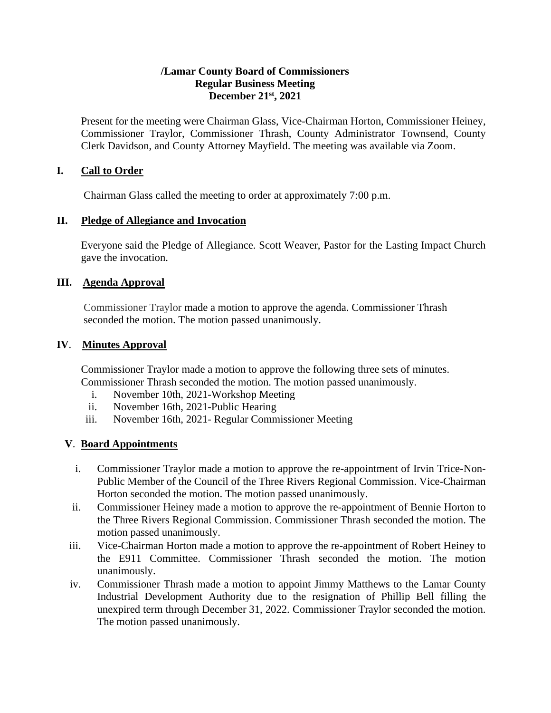#### **/Lamar County Board of Commissioners Regular Business Meeting December 21st, 2021**

Present for the meeting were Chairman Glass, Vice-Chairman Horton, Commissioner Heiney, Commissioner Traylor, Commissioner Thrash, County Administrator Townsend, County Clerk Davidson, and County Attorney Mayfield. The meeting was available via Zoom.

#### **I. Call to Order**

Chairman Glass called the meeting to order at approximately 7:00 p.m.

#### **II. Pledge of Allegiance and Invocation**

Everyone said the Pledge of Allegiance. Scott Weaver, Pastor for the Lasting Impact Church gave the invocation.

#### **III. Agenda Approval**

Commissioner Traylor made a motion to approve the agenda. Commissioner Thrash seconded the motion. The motion passed unanimously.

#### **IV**. **Minutes Approval**

Commissioner Traylor made a motion to approve the following three sets of minutes. Commissioner Thrash seconded the motion. The motion passed unanimously.

- i. November 10th, 2021-Workshop Meeting
- ii. November 16th, 2021-Public Hearing
- iii. November 16th, 2021- Regular Commissioner Meeting

# **V**. **Board Appointments**

- i. Commissioner Traylor made a motion to approve the re-appointment of Irvin Trice-Non-Public Member of the Council of the Three Rivers Regional Commission. Vice-Chairman Horton seconded the motion. The motion passed unanimously.
- ii. Commissioner Heiney made a motion to approve the re-appointment of Bennie Horton to the Three Rivers Regional Commission. Commissioner Thrash seconded the motion. The motion passed unanimously.
- iii. Vice-Chairman Horton made a motion to approve the re-appointment of Robert Heiney to the E911 Committee. Commissioner Thrash seconded the motion. The motion unanimously.
- iv. Commissioner Thrash made a motion to appoint Jimmy Matthews to the Lamar County Industrial Development Authority due to the resignation of Phillip Bell filling the unexpired term through December 31, 2022. Commissioner Traylor seconded the motion. The motion passed unanimously.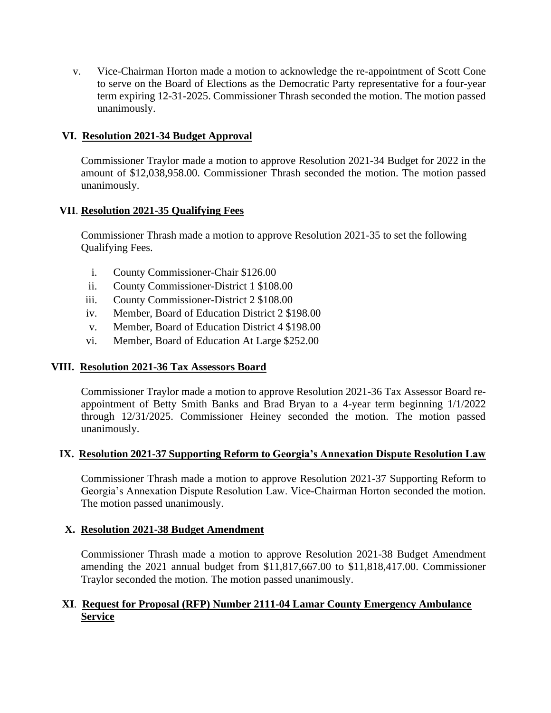v. Vice-Chairman Horton made a motion to acknowledge the re-appointment of Scott Cone to serve on the Board of Elections as the Democratic Party representative for a four-year term expiring 12-31-2025. Commissioner Thrash seconded the motion. The motion passed unanimously.

# **VI. Resolution 2021-34 Budget Approval**

Commissioner Traylor made a motion to approve Resolution 2021-34 Budget for 2022 in the amount of \$12,038,958.00. Commissioner Thrash seconded the motion. The motion passed unanimously.

# **VII**. **Resolution 2021-35 Qualifying Fees**

 Commissioner Thrash made a motion to approve Resolution 2021-35 to set the following Qualifying Fees.

- i. County Commissioner-Chair \$126.00
- ii. County Commissioner-District 1 \$108.00
- iii. County Commissioner-District 2 \$108.00
- iv. Member, Board of Education District 2 \$198.00
- v. Member, Board of Education District 4 \$198.00
- vi. Member, Board of Education At Large \$252.00

# **VIII. Resolution 2021-36 Tax Assessors Board**

 Commissioner Traylor made a motion to approve Resolution 2021-36 Tax Assessor Board reappointment of Betty Smith Banks and Brad Bryan to a 4-year term beginning 1/1/2022 through 12/31/2025. Commissioner Heiney seconded the motion. The motion passed unanimously.

# **IX. Resolution 2021-37 Supporting Reform to Georgia's Annexation Dispute Resolution Law**

Commissioner Thrash made a motion to approve Resolution 2021-37 Supporting Reform to Georgia's Annexation Dispute Resolution Law. Vice-Chairman Horton seconded the motion. The motion passed unanimously.

# **X. Resolution 2021-38 Budget Amendment**

Commissioner Thrash made a motion to approve Resolution 2021-38 Budget Amendment amending the 2021 annual budget from \$11,817,667.00 to \$11,818,417.00. Commissioner Traylor seconded the motion. The motion passed unanimously.

# **XI**. **Request for Proposal (RFP) Number 2111-04 Lamar County Emergency Ambulance Service**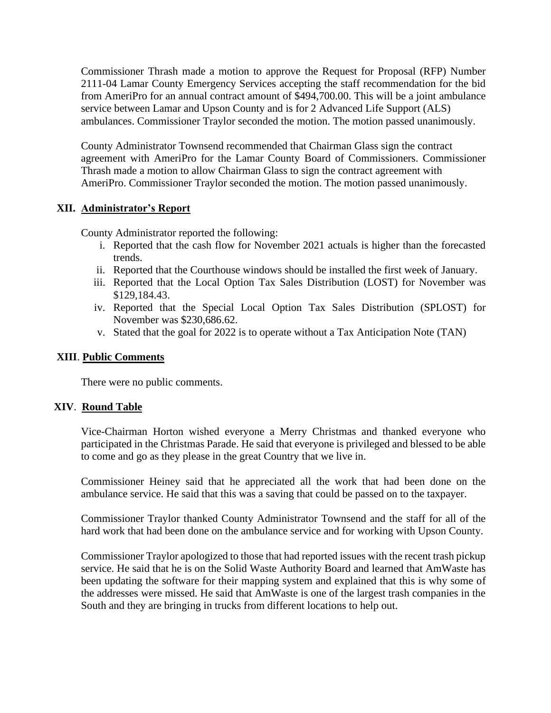Commissioner Thrash made a motion to approve the Request for Proposal (RFP) Number 2111-04 Lamar County Emergency Services accepting the staff recommendation for the bid from AmeriPro for an annual contract amount of \$494,700.00. This will be a joint ambulance service between Lamar and Upson County and is for 2 Advanced Life Support (ALS) ambulances. Commissioner Traylor seconded the motion. The motion passed unanimously.

County Administrator Townsend recommended that Chairman Glass sign the contract agreement with AmeriPro for the Lamar County Board of Commissioners. Commissioner Thrash made a motion to allow Chairman Glass to sign the contract agreement with AmeriPro. Commissioner Traylor seconded the motion. The motion passed unanimously.

# **XII. Administrator's Report**

County Administrator reported the following:

- i. Reported that the cash flow for November 2021 actuals is higher than the forecasted trends.
- ii. Reported that the Courthouse windows should be installed the first week of January.
- iii. Reported that the Local Option Tax Sales Distribution (LOST) for November was \$129,184.43.
- iv. Reported that the Special Local Option Tax Sales Distribution (SPLOST) for November was \$230,686.62.
- v. Stated that the goal for 2022 is to operate without a Tax Anticipation Note (TAN)

#### **XIII**. **Public Comments**

There were no public comments.

#### **XIV**. **Round Table**

 Vice-Chairman Horton wished everyone a Merry Christmas and thanked everyone who participated in the Christmas Parade. He said that everyone is privileged and blessed to be able to come and go as they please in the great Country that we live in.

Commissioner Heiney said that he appreciated all the work that had been done on the ambulance service. He said that this was a saving that could be passed on to the taxpayer.

Commissioner Traylor thanked County Administrator Townsend and the staff for all of the hard work that had been done on the ambulance service and for working with Upson County.

Commissioner Traylor apologized to those that had reported issues with the recent trash pickup service. He said that he is on the Solid Waste Authority Board and learned that AmWaste has been updating the software for their mapping system and explained that this is why some of the addresses were missed. He said that AmWaste is one of the largest trash companies in the South and they are bringing in trucks from different locations to help out.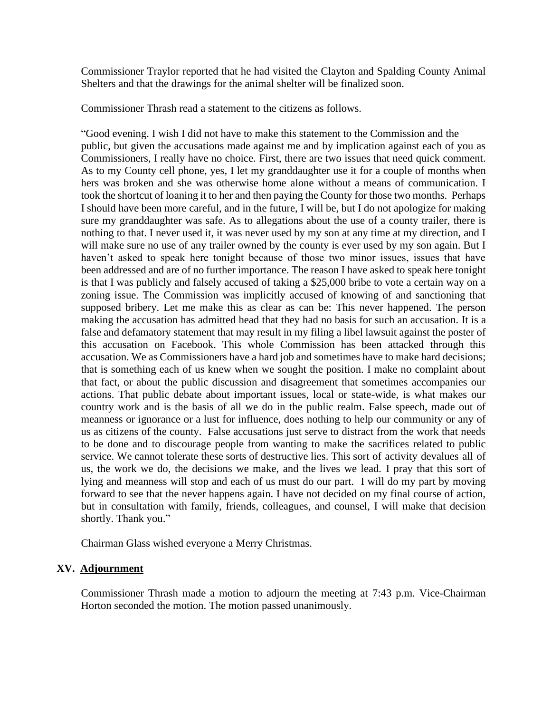Commissioner Traylor reported that he had visited the Clayton and Spalding County Animal Shelters and that the drawings for the animal shelter will be finalized soon.

Commissioner Thrash read a statement to the citizens as follows.

"Good evening. I wish I did not have to make this statement to the Commission and the public, but given the accusations made against me and by implication against each of you as Commissioners, I really have no choice. First, there are two issues that need quick comment. As to my County cell phone, yes, I let my granddaughter use it for a couple of months when hers was broken and she was otherwise home alone without a means of communication. I took the shortcut of loaning it to her and then paying the County for those two months. Perhaps I should have been more careful, and in the future, I will be, but I do not apologize for making sure my granddaughter was safe. As to allegations about the use of a county trailer, there is nothing to that. I never used it, it was never used by my son at any time at my direction, and I will make sure no use of any trailer owned by the county is ever used by my son again. But I haven't asked to speak here tonight because of those two minor issues, issues that have been addressed and are of no further importance. The reason I have asked to speak here tonight is that I was publicly and falsely accused of taking a \$25,000 bribe to vote a certain way on a zoning issue. The Commission was implicitly accused of knowing of and sanctioning that supposed bribery. Let me make this as clear as can be: This never happened. The person making the accusation has admitted head that they had no basis for such an accusation. It is a false and defamatory statement that may result in my filing a libel lawsuit against the poster of this accusation on Facebook. This whole Commission has been attacked through this accusation. We as Commissioners have a hard job and sometimes have to make hard decisions; that is something each of us knew when we sought the position. I make no complaint about that fact, or about the public discussion and disagreement that sometimes accompanies our actions. That public debate about important issues, local or state-wide, is what makes our country work and is the basis of all we do in the public realm. False speech, made out of meanness or ignorance or a lust for influence, does nothing to help our community or any of us as citizens of the county. False accusations just serve to distract from the work that needs to be done and to discourage people from wanting to make the sacrifices related to public service. We cannot tolerate these sorts of destructive lies. This sort of activity devalues all of us, the work we do, the decisions we make, and the lives we lead. I pray that this sort of lying and meanness will stop and each of us must do our part. I will do my part by moving forward to see that the never happens again. I have not decided on my final course of action, but in consultation with family, friends, colleagues, and counsel, I will make that decision shortly. Thank you."

Chairman Glass wished everyone a Merry Christmas.

# **XV. Adjournment**

Commissioner Thrash made a motion to adjourn the meeting at 7:43 p.m. Vice-Chairman Horton seconded the motion. The motion passed unanimously.